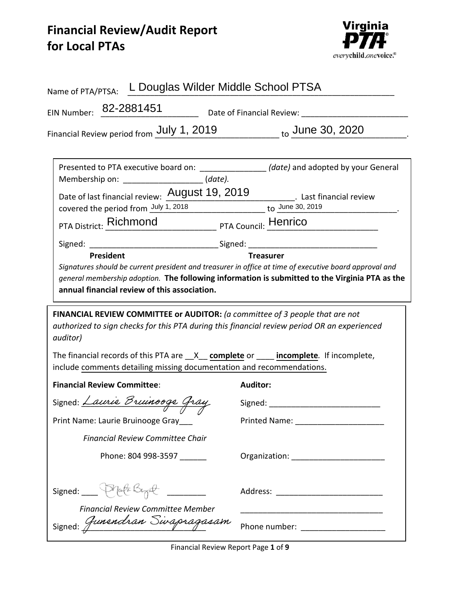## **Financial Review/Audit Report for Local PTAs**



| L Douglas Wilder Middle School PTSA<br>Name of PTA/PTSA:                                                                                                                                                                                                                                                                                                                                       |                                                                                                                       |  |
|------------------------------------------------------------------------------------------------------------------------------------------------------------------------------------------------------------------------------------------------------------------------------------------------------------------------------------------------------------------------------------------------|-----------------------------------------------------------------------------------------------------------------------|--|
| EIN Number: 82-2881451<br>Date of Financial Review: 1997                                                                                                                                                                                                                                                                                                                                       |                                                                                                                       |  |
| Financial Review period from July 1, 2019 to June 30, 2020                                                                                                                                                                                                                                                                                                                                     |                                                                                                                       |  |
| Presented to PTA executive board on: ___________________(date) and adopted by your General<br>Membership on: ______________________(date).<br>Date of last financial review: $\frac{\text{August 19, 2019}}{\text{covered the period from } \frac{\text{July 1, 2018}}{\text{1, 2018}}}$ to $\frac{\text{June 30, 2019}}{\text{to } 30, 2019}}$<br>PTA District: Richmond PTA Council: Henrico |                                                                                                                       |  |
| <b>President</b><br>Signatures should be current president and treasurer in office at time of executive board approval and<br>general membership adoption. The following information is submitted to the Virginia PTA as the<br>annual financial review of this association.                                                                                                                   | <b>Treasurer</b>                                                                                                      |  |
| FINANCIAL REVIEW COMMITTEE or AUDITOR: (a committee of 3 people that are not<br>authorized to sign checks for this PTA during this financial review period OR an experienced<br><i>auditor</i> )                                                                                                                                                                                               |                                                                                                                       |  |
| The financial records of this PTA are $X$ complete or $\blacksquare$ incomplete. If incomplete,<br>include comments detailing missing documentation and recommendations.                                                                                                                                                                                                                       |                                                                                                                       |  |
| <b>Financial Review Committee:</b>                                                                                                                                                                                                                                                                                                                                                             | <b>Auditor:</b>                                                                                                       |  |
| Signed: Laurie Bruinooge Gray                                                                                                                                                                                                                                                                                                                                                                  |                                                                                                                       |  |
| Print Name: Laurie Bruinooge Gray___                                                                                                                                                                                                                                                                                                                                                           |                                                                                                                       |  |
| <b>Financial Review Committee Chair</b>                                                                                                                                                                                                                                                                                                                                                        |                                                                                                                       |  |
| Phone: 804 998-3597 _______                                                                                                                                                                                                                                                                                                                                                                    |                                                                                                                       |  |
| Phata Bizat<br>Signed: $\frac{1}{2}$<br><b>Financial Review Committee Member</b>                                                                                                                                                                                                                                                                                                               | <u> 1980 - Johann Barbara, martin da kasar Amerikaan kasar dalam kasar dalam kasar dalam kasar dalam kasar dalam </u> |  |
| Signed: Gunendran Sivapragasam                                                                                                                                                                                                                                                                                                                                                                 | Phone number: ____________________                                                                                    |  |

**Financial Review Report Page 1 of 9**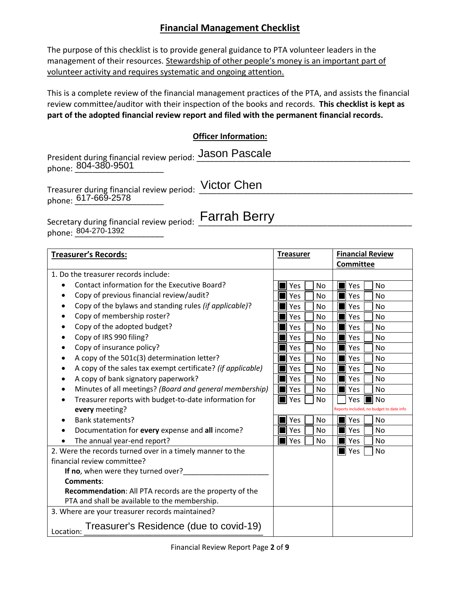## **Financial Management Checklist**

The purpose of this checklist is to provide general guidance to PTA volunteer leaders in the management of their resources. Stewardship of other people's money is an important part of volunteer activity and requires systematic and ongoing attention.

This is a complete review of the financial management practices of the PTA, and assists the financial review committee/auditor with their inspection of the books and records. **This checklist is kept as part of the adopted financial review report and filed with the permanent financial records.** 

## **Officer Information:**

President during financial review period: Jason Pascale phone: <u>804-380-9501</u>

Treasurer during financial review period: \_\_\_\_\_\_\_\_\_\_\_\_\_\_\_\_\_\_\_\_\_\_\_\_\_\_\_\_\_\_\_\_\_\_\_\_\_\_\_\_\_\_\_\_\_\_\_\_ phone: \_\_\_\_\_\_\_\_\_\_\_\_\_\_\_\_\_\_\_\_ 617-669-2578

Victor Chen

Secretary during financial review period: \_\_\_\_\_\_\_\_\_\_\_\_\_\_\_\_\_\_\_\_\_\_\_\_\_\_\_\_\_\_\_\_\_\_\_\_\_\_\_\_\_\_\_\_\_\_\_\_ Farrah Berry phone: <u>804-270-1392</u>

| <b>Treasurer's Records:</b>                                                                              | <b>Treasurer</b>         | <b>Financial Review</b>                  |
|----------------------------------------------------------------------------------------------------------|--------------------------|------------------------------------------|
|                                                                                                          |                          | <b>Committee</b>                         |
| 1. Do the treasurer records include:                                                                     |                          |                                          |
| Contact information for the Executive Board?                                                             | Yes<br><b>No</b>         | Yes<br><b>No</b>                         |
| Copy of previous financial review/audit?                                                                 | Yes<br>No                | Yes<br>No                                |
| Copy of the bylaws and standing rules (if applicable)?                                                   | Yes<br>No                | Yes<br>No                                |
| Copy of membership roster?                                                                               | Yes<br>No                | Yes<br>No                                |
| Copy of the adopted budget?                                                                              | Yes<br>No                | Yes<br>No                                |
| Copy of IRS 990 filing?                                                                                  | Yes<br>No                | Yes<br>No                                |
| Copy of insurance policy?                                                                                | <b>Yes</b><br>No         | Yes<br>No                                |
| A copy of the 501c(3) determination letter?                                                              | Yes<br>No                | Yes<br>No                                |
| A copy of the sales tax exempt certificate? (if applicable)                                              | Yes<br>No                | Yes<br>No                                |
| A copy of bank signatory paperwork?                                                                      | Yes<br>No                | Yes<br>No                                |
| Minutes of all meetings? (Board and general membership)                                                  | Yes<br>No                | Yes<br>No                                |
| Treasurer reports with budget-to-date information for                                                    | $\blacksquare$ Yes<br>No | No<br><b>Yes</b>                         |
| every meeting?                                                                                           |                          | Reports included, no budget to date info |
| <b>Bank statements?</b>                                                                                  | Yes<br><b>No</b>         | Yes<br>No                                |
| Documentation for every expense and all income?                                                          | Yes<br>No                | Yes<br>No                                |
| The annual year-end report?                                                                              | $\blacksquare$ Yes<br>No | Yes<br>No                                |
| 2. Were the records turned over in a timely manner to the                                                |                          | $\blacksquare$ Yes<br>No                 |
| financial review committee?                                                                              |                          |                                          |
| If no, when were they turned over?                                                                       |                          |                                          |
| <b>Comments:</b>                                                                                         |                          |                                          |
| Recommendation: All PTA records are the property of the<br>PTA and shall be available to the membership. |                          |                                          |
| 3. Where are your treasurer records maintained?                                                          |                          |                                          |
| Treasurer's Residence (due to covid-19)<br>Location:                                                     |                          |                                          |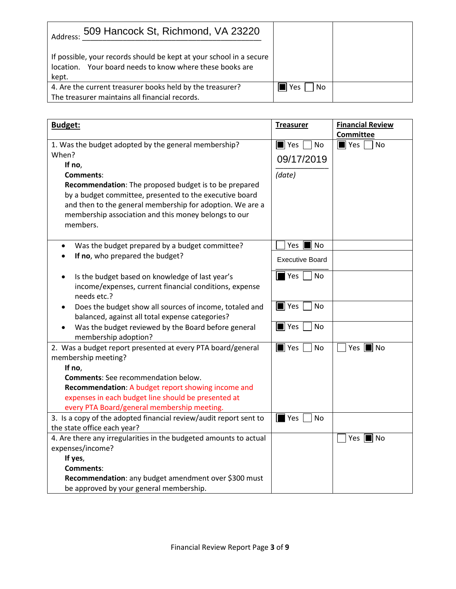| 509 Hancock St, Richmond, VA 23220<br>Address:                                                                                           |               |  |
|------------------------------------------------------------------------------------------------------------------------------------------|---------------|--|
| If possible, your records should be kept at your school in a secure<br>location. Your board needs to know where these books are<br>kept. |               |  |
| 4. Are the current treasurer books held by the treasurer?<br>The treasurer maintains all financial records.                              | l No<br>l Yes |  |

| Budget:                                                                                                                                                                                                                                                                                                                                                                                                                                                                                                                                                                                                                                                                                                                  | <b>Treasurer</b>                                                                                                                            | <b>Financial Review</b>                 |
|--------------------------------------------------------------------------------------------------------------------------------------------------------------------------------------------------------------------------------------------------------------------------------------------------------------------------------------------------------------------------------------------------------------------------------------------------------------------------------------------------------------------------------------------------------------------------------------------------------------------------------------------------------------------------------------------------------------------------|---------------------------------------------------------------------------------------------------------------------------------------------|-----------------------------------------|
|                                                                                                                                                                                                                                                                                                                                                                                                                                                                                                                                                                                                                                                                                                                          |                                                                                                                                             | <b>Committee</b>                        |
| 1. Was the budget adopted by the general membership?                                                                                                                                                                                                                                                                                                                                                                                                                                                                                                                                                                                                                                                                     | <b>No</b><br>$\blacksquare$ Yes                                                                                                             | $\blacksquare$ Yes<br>No                |
| When?                                                                                                                                                                                                                                                                                                                                                                                                                                                                                                                                                                                                                                                                                                                    | 09/17/2019                                                                                                                                  |                                         |
| If no,                                                                                                                                                                                                                                                                                                                                                                                                                                                                                                                                                                                                                                                                                                                   |                                                                                                                                             |                                         |
| Comments:                                                                                                                                                                                                                                                                                                                                                                                                                                                                                                                                                                                                                                                                                                                | (date)                                                                                                                                      |                                         |
| Recommendation: The proposed budget is to be prepared                                                                                                                                                                                                                                                                                                                                                                                                                                                                                                                                                                                                                                                                    |                                                                                                                                             |                                         |
| by a budget committee, presented to the executive board                                                                                                                                                                                                                                                                                                                                                                                                                                                                                                                                                                                                                                                                  |                                                                                                                                             |                                         |
| and then to the general membership for adoption. We are a                                                                                                                                                                                                                                                                                                                                                                                                                                                                                                                                                                                                                                                                |                                                                                                                                             |                                         |
| membership association and this money belongs to our                                                                                                                                                                                                                                                                                                                                                                                                                                                                                                                                                                                                                                                                     |                                                                                                                                             |                                         |
| members.                                                                                                                                                                                                                                                                                                                                                                                                                                                                                                                                                                                                                                                                                                                 |                                                                                                                                             |                                         |
|                                                                                                                                                                                                                                                                                                                                                                                                                                                                                                                                                                                                                                                                                                                          |                                                                                                                                             |                                         |
|                                                                                                                                                                                                                                                                                                                                                                                                                                                                                                                                                                                                                                                                                                                          |                                                                                                                                             |                                         |
|                                                                                                                                                                                                                                                                                                                                                                                                                                                                                                                                                                                                                                                                                                                          |                                                                                                                                             |                                         |
| Is the budget based on knowledge of last year's<br>$\bullet$                                                                                                                                                                                                                                                                                                                                                                                                                                                                                                                                                                                                                                                             | $\blacksquare$ Yes<br>No                                                                                                                    |                                         |
| income/expenses, current financial conditions, expense                                                                                                                                                                                                                                                                                                                                                                                                                                                                                                                                                                                                                                                                   |                                                                                                                                             |                                         |
| needs etc.?                                                                                                                                                                                                                                                                                                                                                                                                                                                                                                                                                                                                                                                                                                              |                                                                                                                                             |                                         |
| Does the budget show all sources of income, totaled and<br>$\bullet$                                                                                                                                                                                                                                                                                                                                                                                                                                                                                                                                                                                                                                                     | $\blacksquare$ Yes<br><b>No</b>                                                                                                             |                                         |
| balanced, against all total expense categories?                                                                                                                                                                                                                                                                                                                                                                                                                                                                                                                                                                                                                                                                          |                                                                                                                                             |                                         |
| Was the budget reviewed by the Board before general                                                                                                                                                                                                                                                                                                                                                                                                                                                                                                                                                                                                                                                                      | <b>No</b>                                                                                                                                   |                                         |
| membership adoption?                                                                                                                                                                                                                                                                                                                                                                                                                                                                                                                                                                                                                                                                                                     |                                                                                                                                             |                                         |
|                                                                                                                                                                                                                                                                                                                                                                                                                                                                                                                                                                                                                                                                                                                          |                                                                                                                                             |                                         |
|                                                                                                                                                                                                                                                                                                                                                                                                                                                                                                                                                                                                                                                                                                                          |                                                                                                                                             |                                         |
|                                                                                                                                                                                                                                                                                                                                                                                                                                                                                                                                                                                                                                                                                                                          |                                                                                                                                             |                                         |
|                                                                                                                                                                                                                                                                                                                                                                                                                                                                                                                                                                                                                                                                                                                          |                                                                                                                                             |                                         |
|                                                                                                                                                                                                                                                                                                                                                                                                                                                                                                                                                                                                                                                                                                                          |                                                                                                                                             |                                         |
|                                                                                                                                                                                                                                                                                                                                                                                                                                                                                                                                                                                                                                                                                                                          |                                                                                                                                             |                                         |
|                                                                                                                                                                                                                                                                                                                                                                                                                                                                                                                                                                                                                                                                                                                          |                                                                                                                                             |                                         |
|                                                                                                                                                                                                                                                                                                                                                                                                                                                                                                                                                                                                                                                                                                                          |                                                                                                                                             |                                         |
|                                                                                                                                                                                                                                                                                                                                                                                                                                                                                                                                                                                                                                                                                                                          |                                                                                                                                             |                                         |
|                                                                                                                                                                                                                                                                                                                                                                                                                                                                                                                                                                                                                                                                                                                          |                                                                                                                                             |                                         |
|                                                                                                                                                                                                                                                                                                                                                                                                                                                                                                                                                                                                                                                                                                                          |                                                                                                                                             |                                         |
|                                                                                                                                                                                                                                                                                                                                                                                                                                                                                                                                                                                                                                                                                                                          |                                                                                                                                             |                                         |
|                                                                                                                                                                                                                                                                                                                                                                                                                                                                                                                                                                                                                                                                                                                          |                                                                                                                                             |                                         |
|                                                                                                                                                                                                                                                                                                                                                                                                                                                                                                                                                                                                                                                                                                                          |                                                                                                                                             |                                         |
| Was the budget prepared by a budget committee?<br>٠<br>If no, who prepared the budget?<br>2. Was a budget report presented at every PTA board/general<br>membership meeting?<br>If no,<br><b>Comments:</b> See recommendation below.<br>Recommendation: A budget report showing income and<br>expenses in each budget line should be presented at<br>every PTA Board/general membership meeting.<br>3. Is a copy of the adopted financial review/audit report sent to<br>the state office each year?<br>4. Are there any irregularities in the budgeted amounts to actual<br>expenses/income?<br>If yes,<br>Comments:<br>Recommendation: any budget amendment over \$300 must<br>be approved by your general membership. | Yes $\blacksquare$ No<br><b>Executive Board</b><br>$\blacksquare$ Yes<br>$\blacksquare$ Yes<br><b>No</b><br>$\blacksquare$ Yes<br><b>No</b> | Yes $\blacksquare$ No<br>Yes   <br>¶ No |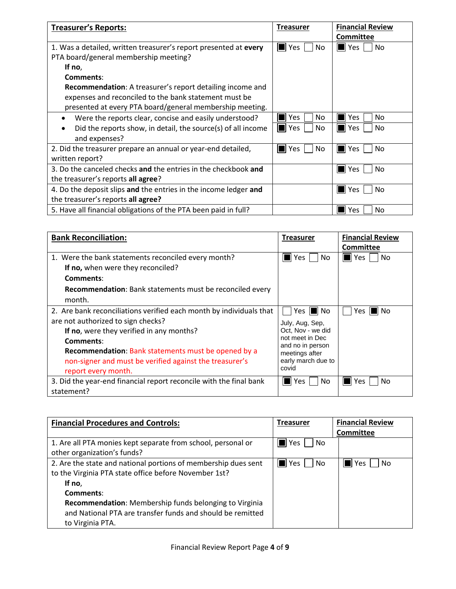| <b>Treasurer's Reports:</b>                                         | <b>Treasurer</b>  | <b>Financial Review</b> |
|---------------------------------------------------------------------|-------------------|-------------------------|
|                                                                     |                   | Committee               |
| 1. Was a detailed, written treasurer's report presented at every    | Yes<br>No         | l Yes<br>No             |
| PTA board/general membership meeting?                               |                   |                         |
| If no,                                                              |                   |                         |
| Comments:                                                           |                   |                         |
| Recommendation: A treasurer's report detailing income and           |                   |                         |
| expenses and reconciled to the bank statement must be               |                   |                         |
| presented at every PTA board/general membership meeting.            |                   |                         |
| Were the reports clear, concise and easily understood?<br>$\bullet$ | <b>Yes</b><br>No. | Yes<br>No.              |
| Did the reports show, in detail, the source(s) of all income        | Yes<br>No         | Yes<br>No               |
| and expenses?                                                       |                   |                         |
| 2. Did the treasurer prepare an annual or year-end detailed,        | Yes<br>No         | <b>Yes</b><br>No        |
| written report?                                                     |                   |                         |
| 3. Do the canceled checks and the entries in the checkbook and      |                   | <b>Yes</b><br>No        |
| the treasurer's reports all agree?                                  |                   |                         |
| 4. Do the deposit slips and the entries in the income ledger and    |                   | No<br>Yes               |
| the treasurer's reports all agree?                                  |                   |                         |
| 5. Have all financial obligations of the PTA been paid in full?     |                   | Yes<br>No               |

| <b>Bank Reconciliation:</b>                                         | <b>Treasurer</b>                    | <b>Financial Review</b>  |
|---------------------------------------------------------------------|-------------------------------------|--------------------------|
|                                                                     |                                     | <b>Committee</b>         |
| 1. Were the bank statements reconciled every month?                 | No.<br>Yes                          | No<br>$\blacksquare$ Yes |
| If no, when were they reconciled?                                   |                                     |                          |
| Comments:                                                           |                                     |                          |
| Recommendation: Bank statements must be reconciled every            |                                     |                          |
| month.                                                              |                                     |                          |
| 2. Are bank reconciliations verified each month by individuals that | Yes II No                           | ll No<br>Yes             |
| are not authorized to sign checks?                                  | July, Aug, Sep,                     |                          |
| If no, were they verified in any months?                            | Oct, Nov - we did                   |                          |
| Comments:                                                           | not meet in Dec<br>and no in person |                          |
| Recommendation: Bank statements must be opened by a                 | meetings after                      |                          |
| non-signer and must be verified against the treasurer's             | early march due to                  |                          |
| report every month.                                                 | covid                               |                          |
| 3. Did the year-end financial report reconcile with the final bank  | No.<br>Yes                          | No<br>Yes.               |
| statement?                                                          |                                     |                          |

| <b>Financial Procedures and Controls:</b>                      | <b>Treasurer</b>          | <b>Financial Review</b> |
|----------------------------------------------------------------|---------------------------|-------------------------|
|                                                                |                           | Committee               |
| 1. Are all PTA monies kept separate from school, personal or   | $\blacksquare$ Yes<br>No. |                         |
| other organization's funds?                                    |                           |                         |
| 2. Are the state and national portions of membership dues sent | $\blacksquare$ Yes<br>No. | No<br>l Yes             |
| to the Virginia PTA state office before November 1st?          |                           |                         |
| If no,                                                         |                           |                         |
| Comments:                                                      |                           |                         |
| Recommendation: Membership funds belonging to Virginia         |                           |                         |
| and National PTA are transfer funds and should be remitted     |                           |                         |
| to Virginia PTA.                                               |                           |                         |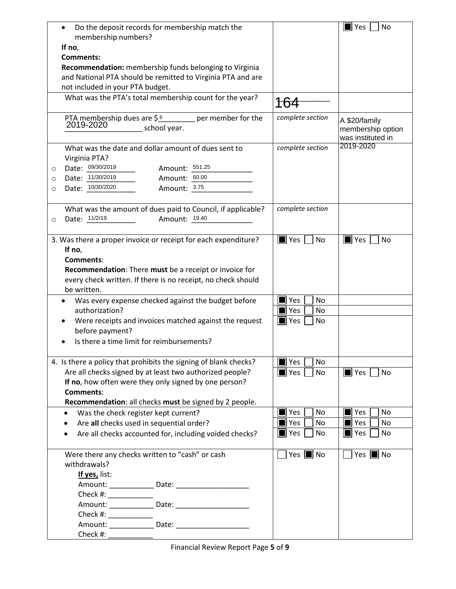| Do the deposit records for membership match the<br>$\bullet$<br>membership numbers? |                                      | $\blacksquare$ Yes<br>No                                |
|-------------------------------------------------------------------------------------|--------------------------------------|---------------------------------------------------------|
| If no,                                                                              |                                      |                                                         |
| Comments:                                                                           |                                      |                                                         |
| Recommendation: membership funds belonging to Virginia                              |                                      |                                                         |
| and National PTA should be remitted to Virginia PTA and are                         |                                      |                                                         |
| not included in your PTA budget.                                                    |                                      |                                                         |
| What was the PTA's total membership count for the year?                             |                                      |                                                         |
|                                                                                     |                                      |                                                         |
| PTA membership dues are $\frac{6}{5}$ per member for the 2019-2020<br>school year.  | complete section                     | A \$20/family<br>membership option<br>was instituted in |
| What was the date and dollar amount of dues sent to                                 | complete section                     | 2019-2020                                               |
| Virginia PTA?                                                                       |                                      |                                                         |
| Date: 09/30/2019<br>Amount: 551.25<br>O                                             |                                      |                                                         |
| Date: 11/30/2019<br>Amount: 60.00<br>O                                              |                                      |                                                         |
| Date: 10/30/2020<br>Amount: 3.75<br>O                                               |                                      |                                                         |
|                                                                                     |                                      |                                                         |
| What was the amount of dues paid to Council, if applicable?                         | complete section                     |                                                         |
| Date: 11/2/19<br>Amount: 19.40<br>$\circ$                                           |                                      |                                                         |
|                                                                                     |                                      |                                                         |
| 3. Was there a proper invoice or receipt for each expenditure?<br>If no,            | $\blacksquare$ Yes $\blacksquare$ No | $\blacksquare$ Yes<br>No                                |
| Comments:                                                                           |                                      |                                                         |
| Recommendation: There must be a receipt or invoice for                              |                                      |                                                         |
| every check written. If there is no receipt, no check should                        |                                      |                                                         |
| be written.                                                                         |                                      |                                                         |
|                                                                                     |                                      |                                                         |
| Was every expense checked against the budget before                                 | $\blacksquare$ Yes<br>No             |                                                         |
| authorization?                                                                      | Yes<br>No                            |                                                         |
| Were receipts and invoices matched against the request                              | $\blacksquare$ Yes<br>No             |                                                         |
| before payment?                                                                     |                                      |                                                         |
| Is there a time limit for reimbursements?                                           |                                      |                                                         |
|                                                                                     |                                      |                                                         |
| 4. Is there a policy that prohibits the signing of blank checks?                    | $\blacksquare$ Yes<br>No             |                                                         |
| Are all checks signed by at least two authorized people?                            | $\blacksquare$ Yes<br>No             | $\blacksquare$ Yes<br>No                                |
| If no, how often were they only signed by one person?                               |                                      |                                                         |
| <b>Comments:</b>                                                                    |                                      |                                                         |
| Recommendation: all checks must be signed by 2 people.                              |                                      |                                                         |
| Was the check register kept current?<br>$\bullet$                                   | Yes<br>No                            | $\blacksquare$ Yes<br>No                                |
| Are all checks used in sequential order?                                            | Yes<br>No                            | $\blacksquare$ Yes<br>No                                |
| Are all checks accounted for, including voided checks?<br>$\bullet$                 | $\blacksquare$ Yes<br>No             | $\blacksquare$ Yes<br>No                                |
|                                                                                     |                                      |                                                         |
| Were there any checks written to "cash" or cash                                     | Yes $\blacksquare$ No                | $\blacksquare$ No<br>Yes                                |
| withdrawals?                                                                        |                                      |                                                         |
| If yes, list:                                                                       |                                      |                                                         |
|                                                                                     |                                      |                                                         |
|                                                                                     |                                      |                                                         |
|                                                                                     |                                      |                                                         |
|                                                                                     |                                      |                                                         |
|                                                                                     |                                      |                                                         |
|                                                                                     |                                      |                                                         |
| Check #:                                                                            |                                      |                                                         |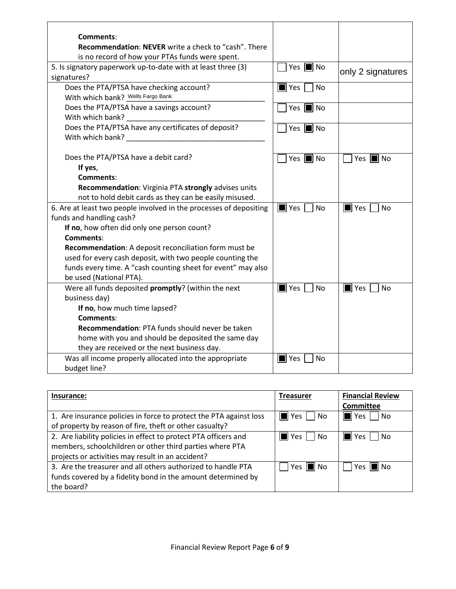| Comments:                                                          |                                 |                          |
|--------------------------------------------------------------------|---------------------------------|--------------------------|
| <b>Recommendation: NEVER</b> write a check to "cash". There        |                                 |                          |
| is no record of how your PTAs funds were spent.                    |                                 |                          |
| 5. Is signatory paperwork up-to-date with at least three (3)       | Yes $\blacksquare$ No           | only 2 signatures        |
| signatures?                                                        |                                 |                          |
| Does the PTA/PTSA have checking account?                           | <b>No</b><br>$\blacksquare$ Yes |                          |
| With which bank? Wells Fargo Bank                                  |                                 |                          |
| Does the PTA/PTSA have a savings account?                          | Yes $\blacksquare$ No           |                          |
| With which bank?                                                   |                                 |                          |
| Does the PTA/PTSA have any certificates of deposit?                | Yes $\blacksquare$ No           |                          |
| With which bank?                                                   |                                 |                          |
|                                                                    |                                 |                          |
| Does the PTA/PTSA have a debit card?                               | Yes $\blacksquare$ No           | Yes $\blacksquare$ No    |
| If yes,                                                            |                                 |                          |
| <b>Comments:</b>                                                   |                                 |                          |
| Recommendation: Virginia PTA strongly advises units                |                                 |                          |
| not to hold debit cards as they can be easily misused.             |                                 |                          |
| 6. Are at least two people involved in the processes of depositing | $\blacksquare$ Yes<br><b>No</b> | $\blacksquare$ Yes<br>No |
| funds and handling cash?                                           |                                 |                          |
| If no, how often did only one person count?                        |                                 |                          |
| <b>Comments:</b>                                                   |                                 |                          |
| Recommendation: A deposit reconciliation form must be              |                                 |                          |
| used for every cash deposit, with two people counting the          |                                 |                          |
| funds every time. A "cash counting sheet for event" may also       |                                 |                          |
| be used (National PTA).                                            |                                 |                          |
| Were all funds deposited promptly? (within the next                | $\blacksquare$ Yes<br><b>No</b> | $\blacksquare$ Yes<br>No |
| business day)                                                      |                                 |                          |
| If no, how much time lapsed?                                       |                                 |                          |
| Comments:                                                          |                                 |                          |
| <b>Recommendation: PTA funds should never be taken</b>             |                                 |                          |
| home with you and should be deposited the same day                 |                                 |                          |
| they are received or the next business day.                        |                                 |                          |
| Was all income properly allocated into the appropriate             | $\blacksquare$ Yes<br>No        |                          |
| budget line?                                                       |                                 |                          |

| Insurance:                                                         | <b>Treasurer</b>            | <b>Financial Review</b> |
|--------------------------------------------------------------------|-----------------------------|-------------------------|
|                                                                    |                             | <b>Committee</b>        |
| 1. Are insurance policies in force to protect the PTA against loss | $\triangleleft$ Yes<br>  No | No<br>ll Yes            |
| of property by reason of fire, theft or other casualty?            |                             |                         |
| 2. Are liability policies in effect to protect PTA officers and    | l Yes<br>No                 | No.<br>ll Yes           |
| members, schoolchildren or other third parties where PTA           |                             |                         |
| projects or activities may result in an accident?                  |                             |                         |
| 3. Are the treasurer and all others authorized to handle PTA       | Yes $\blacksquare$<br>ll No | ll No<br>Yes            |
| funds covered by a fidelity bond in the amount determined by       |                             |                         |
| the board?                                                         |                             |                         |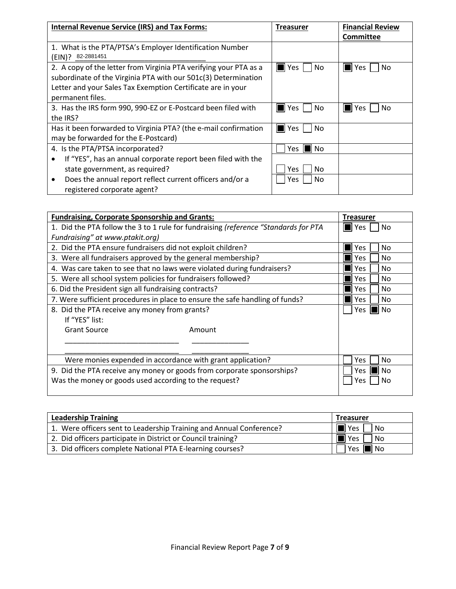| <b>Internal Revenue Service (IRS) and Tax Forms:</b>              | Treasurer    | <b>Financial Review</b> |
|-------------------------------------------------------------------|--------------|-------------------------|
|                                                                   |              | <b>Committee</b>        |
| 1. What is the PTA/PTSA's Employer Identification Number          |              |                         |
| 82-2881451<br>(EIN)?                                              |              |                         |
| 2. A copy of the letter from Virginia PTA verifying your PTA as a | I∎ Yes<br>No | No<br>Yes               |
| subordinate of the Virginia PTA with our 501c(3) Determination    |              |                         |
| Letter and your Sales Tax Exemption Certificate are in your       |              |                         |
| permanent files.                                                  |              |                         |
| 3. Has the IRS form 990, 990-EZ or E-Postcard been filed with     | No<br>Yes    | No<br>Yes               |
| the IRS?                                                          |              |                         |
| Has it been forwarded to Virginia PTA? (the e-mail confirmation   | l Yes<br>No  |                         |
| may be forwarded for the E-Postcard)                              |              |                         |
| 4. Is the PTA/PTSA incorporated?                                  | No<br>Yes    |                         |
| If "YES", has an annual corporate report been filed with the      |              |                         |
| state government, as required?                                    | No<br>Yes.   |                         |
| Does the annual report reflect current officers and/or a<br>٠     | No<br>Yes    |                         |
| registered corporate agent?                                       |              |                         |

| <b>Fundraising, Corporate Sponsorship and Grants:</b>                        |                                                                                     | <b>Treasurer</b>          |
|------------------------------------------------------------------------------|-------------------------------------------------------------------------------------|---------------------------|
|                                                                              | 1. Did the PTA follow the 3 to 1 rule for fundraising (reference "Standards for PTA | $\blacksquare$ Yes<br>No. |
| Fundraising" at www.ptakit.org)                                              |                                                                                     |                           |
| 2. Did the PTA ensure fundraisers did not exploit children?                  |                                                                                     | <b>Yes</b><br>No          |
| 3. Were all fundraisers approved by the general membership?                  |                                                                                     | No.<br>Yes.               |
| 4. Was care taken to see that no laws were violated during fundraisers?      |                                                                                     | Yes<br>No                 |
| 5. Were all school system policies for fundraisers followed?                 |                                                                                     | <b>Yes</b><br>No          |
| 6. Did the President sign all fundraising contracts?                         |                                                                                     | <b>Yes</b><br>No.         |
| 7. Were sufficient procedures in place to ensure the safe handling of funds? |                                                                                     | Yes.<br>No                |
| 8. Did the PTA receive any money from grants?                                |                                                                                     | Yes<br>No.                |
| If "YES" list:                                                               |                                                                                     |                           |
| <b>Grant Source</b>                                                          | Amount                                                                              |                           |
|                                                                              |                                                                                     |                           |
|                                                                              |                                                                                     |                           |
| Were monies expended in accordance with grant application?                   |                                                                                     | Yes<br>No                 |
| 9. Did the PTA receive any money or goods from corporate sponsorships?       |                                                                                     | No<br>Yes.                |
| Was the money or goods used according to the request?                        |                                                                                     | Yes<br>No                 |
|                                                                              |                                                                                     |                           |

| <b>Leadership Training</b>                                          | <b>Treasurer</b>      |
|---------------------------------------------------------------------|-----------------------|
| 1. Were officers sent to Leadership Training and Annual Conference? | ∦l Yes<br>No          |
| 2. Did officers participate in District or Council training?        | Yes,<br>No            |
| 3. Did officers complete National PTA E-learning courses?           | Yes $\blacksquare$ No |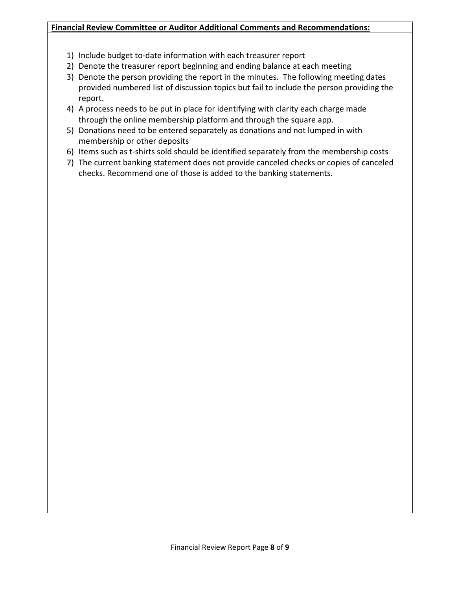## **Financial Review Committee or Auditor Additional Comments and Recommendations:**

- 1) Include budget to-date information with each treasurer report
- 2) Denote the treasurer report beginning and ending balance at each meeting
- 3) Denote the person providing the report in the minutes. The following meeting dates provided numbered list of discussion topics but fail to include the person providing the report.
- 4) A process needs to be put in place for identifying with clarity each charge made through the online membership platform and through the square app.
- 5) Donations need to be entered separately as donations and not lumped in with membership or other deposits
- 6) Items such as t-shirts sold should be identified separately from the membership costs
- 7) The current banking statement does not provide canceled checks or copies of canceled checks. Recommend one of those is added to the banking statements.